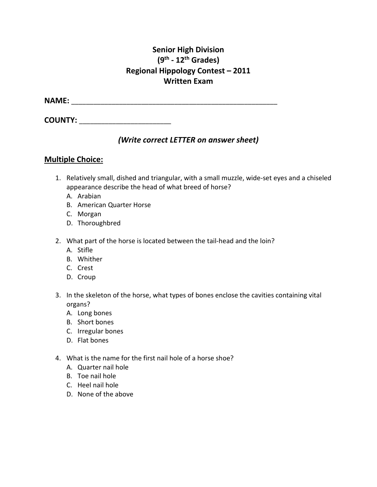## **Senior High Division (9th - 12th Grades) Regional Hippology Contest – 2011 Written Exam**

**NAME:**  $\blacksquare$ 

**COUNTY:** \_\_\_\_\_\_\_\_\_\_\_\_\_\_\_\_\_\_\_\_\_\_\_\_\_

## *(Write correct LETTER on answer sheet)*

#### **Multiple Choice:**

- 1. Relatively small, dished and triangular, with a small muzzle, wide-set eyes and a chiseled appearance describe the head of what breed of horse?
	- A. Arabian
	- B. American Quarter Horse
	- C. Morgan
	- D. Thoroughbred
- 2. What part of the horse is located between the tail-head and the loin?
	- A. Stifle
	- B. Whither
	- C. Crest
	- D. Croup
- 3. In the skeleton of the horse, what types of bones enclose the cavities containing vital organs?
	- A. Long bones
	- B. Short bones
	- C. Irregular bones
	- D. Flat bones
- 4. What is the name for the first nail hole of a horse shoe?
	- A. Quarter nail hole
	- B. Toe nail hole
	- C. Heel nail hole
	- D. None of the above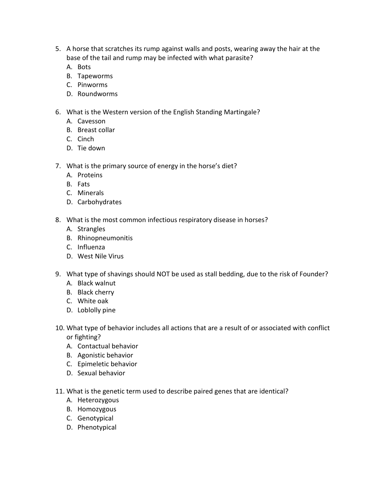- 5. A horse that scratches its rump against walls and posts, wearing away the hair at the base of the tail and rump may be infected with what parasite?
	- A. Bots
	- B. Tapeworms
	- C. Pinworms
	- D. Roundworms
- 6. What is the Western version of the English Standing Martingale?
	- A. Cavesson
	- B. Breast collar
	- C. Cinch
	- D. Tie down
- 7. What is the primary source of energy in the horse's diet?
	- A. Proteins
	- B. Fats
	- C. Minerals
	- D. Carbohydrates
- 8. What is the most common infectious respiratory disease in horses?
	- A. Strangles
	- B. Rhinopneumonitis
	- C. Influenza
	- D. West Nile Virus
- 9. What type of shavings should NOT be used as stall bedding, due to the risk of Founder? A. Black walnut
	- B. Black cherry
	- C. White oak
	- D. Loblolly pine
- 10. What type of behavior includes all actions that are a result of or associated with conflict or fighting?
	- A. Contactual behavior
	- B. Agonistic behavior
	- C. Epimeletic behavior
	- D. Sexual behavior
- 11. What is the genetic term used to describe paired genes that are identical?
	- A. Heterozygous
	- B. Homozygous
	- C. Genotypical
	- D. Phenotypical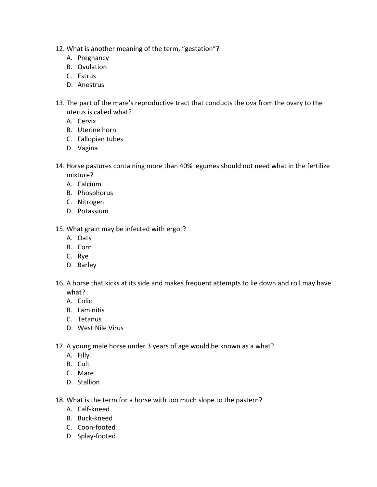- 12. What is another meaning of the term, "gestation"?
	- A. Pregnancy
	- B. Ovulation
	- C. Estrus
	- D. Anestrus
- 13. The part of the mare's reproductive tract that conducts the ova from the ovary to the uterus is called what?
	- A. Cervix
	- B. Uterine horn
	- C. Fallopian tubes
	- D. Vagina
- 14. Horse pastures containing more than 40% legumes should not need what in the fertilize mixture?
	- A. Calcium
	- B. Phosphorus
	- C. Nitrogen
	- D. Potassium
- 15. What grain may be infected with ergot?
	- A. Oats
	- B. Corn
	- C. Rye
	- D. Barley
- 16. A horse that kicks at its side and makes frequent attempts to lie down and roll may have what?
	- A. Colic
	- B. Laminitis
	- C. Tetanus
	- D. West Nile Virus
- 17. A young male horse under 3 years of age would be known as a what?
	- A. Filly
	- B. Colt
	- C. Mare
	- D. Stallion
- 18. What is the term for a horse with too much slope to the pastern?
	- A. Calf-kneed
	- B. Buck-kneed
	- C. Coon-footed
	- D. Splay-footed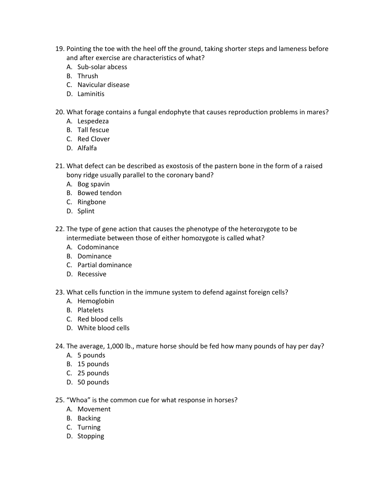- 19. Pointing the toe with the heel off the ground, taking shorter steps and lameness before and after exercise are characteristics of what?
	- A. Sub-solar abcess
	- B. Thrush
	- C. Navicular disease
	- D. Laminitis
- 20. What forage contains a fungal endophyte that causes reproduction problems in mares?
	- A. Lespedeza
	- B. Tall fescue
	- C. Red Clover
	- D. Alfalfa
- 21. What defect can be described as exostosis of the pastern bone in the form of a raised bony ridge usually parallel to the coronary band?
	- A. Bog spavin
	- B. Bowed tendon
	- C. Ringbone
	- D. Splint
- 22. The type of gene action that causes the phenotype of the heterozygote to be intermediate between those of either homozygote is called what?
	- A. Codominance
	- B. Dominance
	- C. Partial dominance
	- D. Recessive
- 23. What cells function in the immune system to defend against foreign cells?
	- A. Hemoglobin
	- B. Platelets
	- C. Red blood cells
	- D. White blood cells
- 24. The average, 1,000 lb., mature horse should be fed how many pounds of hay per day?
	- A. 5 pounds
	- B. 15 pounds
	- C. 25 pounds
	- D. 50 pounds
- 25. "Whoa" is the common cue for what response in horses?
	- A. Movement
	- B. Backing
	- C. Turning
	- D. Stopping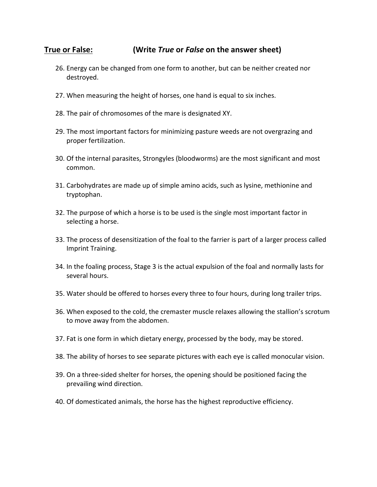### **True or False: (Write** *True* **or** *False* **on the answer sheet)**

- 26. Energy can be changed from one form to another, but can be neither created nor destroyed.
- 27. When measuring the height of horses, one hand is equal to six inches.
- 28. The pair of chromosomes of the mare is designated XY.
- 29. The most important factors for minimizing pasture weeds are not overgrazing and proper fertilization.
- 30. Of the internal parasites, Strongyles (bloodworms) are the most significant and most common.
- 31. Carbohydrates are made up of simple amino acids, such as lysine, methionine and tryptophan.
- 32. The purpose of which a horse is to be used is the single most important factor in selecting a horse.
- 33. The process of desensitization of the foal to the farrier is part of a larger process called Imprint Training.
- 34. In the foaling process, Stage 3 is the actual expulsion of the foal and normally lasts for several hours.
- 35. Water should be offered to horses every three to four hours, during long trailer trips.
- 36. When exposed to the cold, the cremaster muscle relaxes allowing the stallion's scrotum to move away from the abdomen.
- 37. Fat is one form in which dietary energy, processed by the body, may be stored.
- 38. The ability of horses to see separate pictures with each eye is called monocular vision.
- 39. On a three-sided shelter for horses, the opening should be positioned facing the prevailing wind direction.
- 40. Of domesticated animals, the horse has the highest reproductive efficiency.